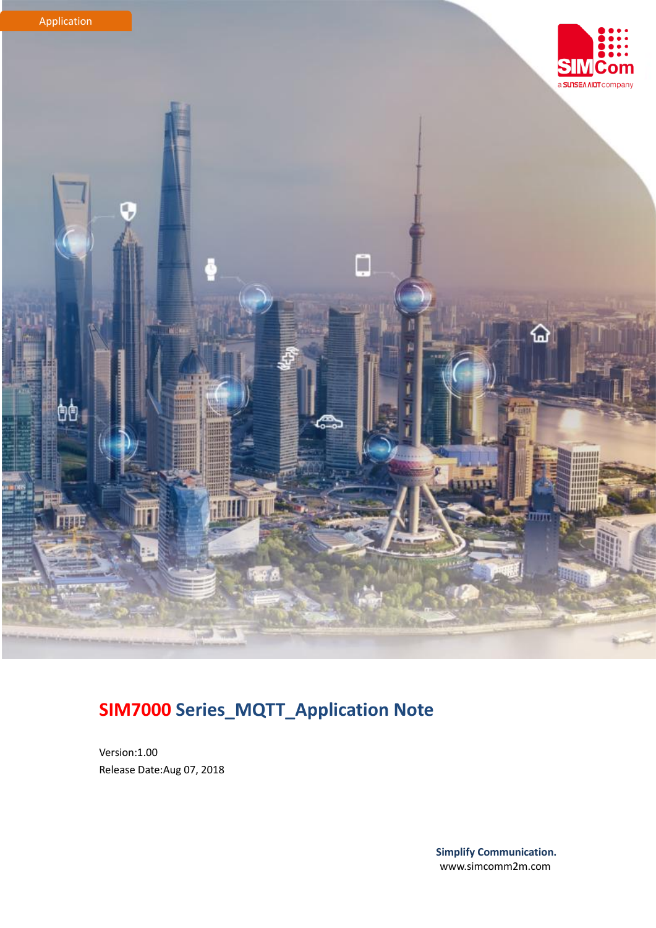

## **SIM7000 Series\_MQTT\_Application Note**

Version:1.00 Release Date:Aug 07, 2018

> **Simplify Communication.** www.simcomm2m.com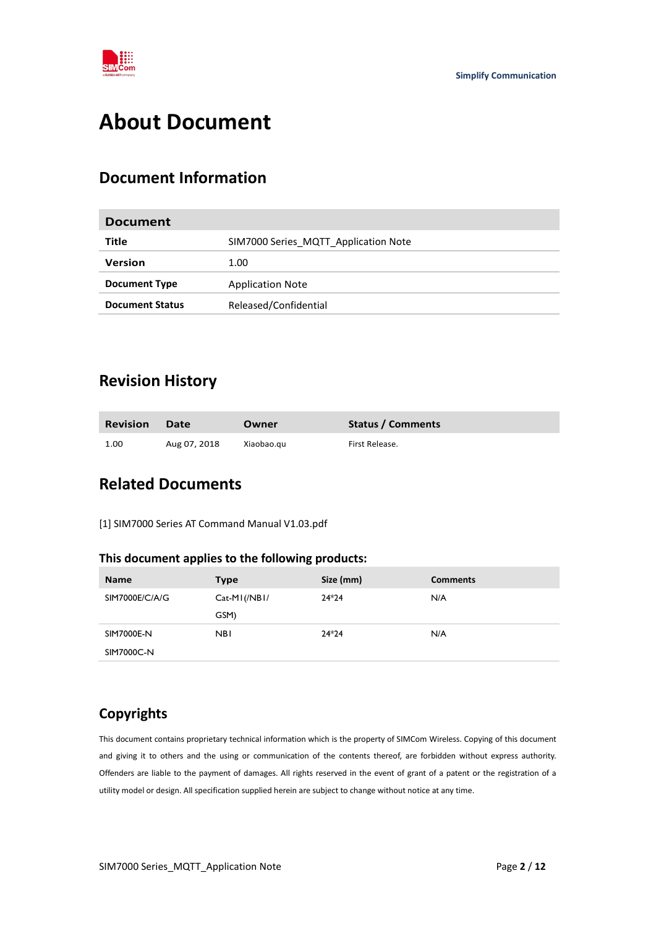

## <span id="page-1-0"></span>**About Document**

#### <span id="page-1-1"></span>**Document Information**

| <b>Document</b>        |                                      |
|------------------------|--------------------------------------|
| Title                  | SIM7000 Series MQTT Application Note |
| <b>Version</b>         | 1.00                                 |
| <b>Document Type</b>   | <b>Application Note</b>              |
| <b>Document Status</b> | Released/Confidential                |
|                        |                                      |

#### <span id="page-1-2"></span>**Revision History**

| <b>Revision</b> | <b>Date</b>  | Owner      | Status / Comments |
|-----------------|--------------|------------|-------------------|
| 1.00            | Aug 07, 2018 | Xiaobao.gu | First Release.    |

### <span id="page-1-3"></span>**Related Documents**

[1] SIM7000 Series AT Command Manual V1.03.pdf

#### **This document applies to the following products:**

| <b>Name</b>    | <b>Type</b>   | Size (mm) | <b>Comments</b> |
|----------------|---------------|-----------|-----------------|
| SIM7000E/C/A/G | $Cat-MI(NBI/$ | $24*24$   | N/A             |
|                | GSM)          |           |                 |
| SIM7000E-N     | <b>NBI</b>    | $24*24$   | N/A             |
| SIM7000C-N     |               |           |                 |

#### **Copyrights**

This document contains proprietary technical information which is the property of SIMCom Wireless. Copying of this document and giving it to others and the using or communication of the contents thereof, are forbidden without express authority. Offenders are liable to the payment of damages. All rights reserved in the event of grant of a patent or the registration of a utility model or design. All specification supplied herein are subject to change without notice at any time.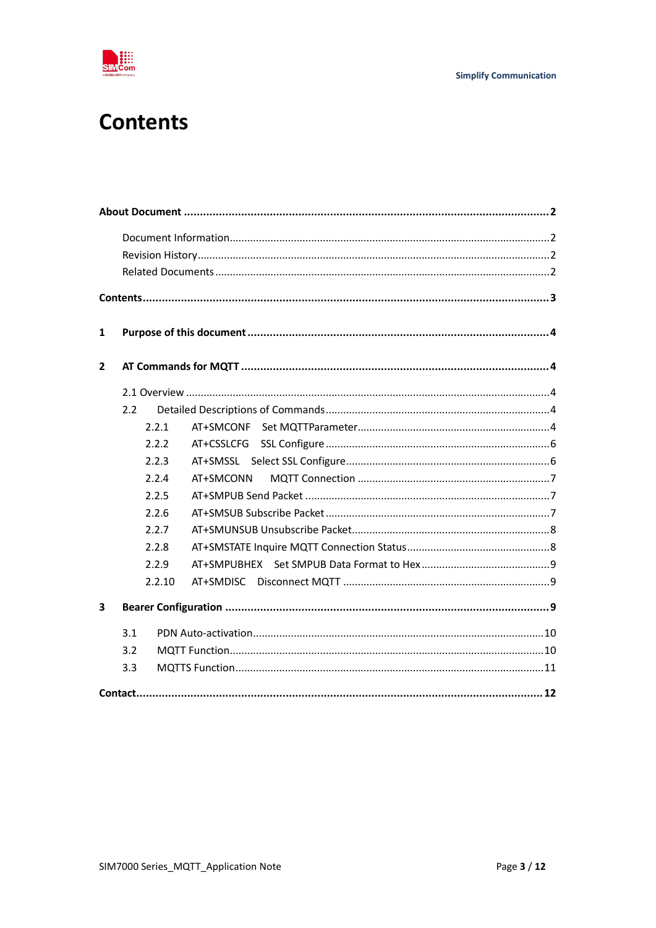

## <span id="page-2-0"></span>**Contents**

| 1              |     |        |            |
|----------------|-----|--------|------------|
| $\overline{2}$ |     |        |            |
|                |     |        |            |
|                | 2.2 |        |            |
|                |     | 2.2.1  |            |
|                |     | 2.2.2  | AT+CSSLCFG |
|                |     | 2.2.3  |            |
|                |     | 2.2.4  | AT+SMCONN  |
|                |     | 2.2.5  |            |
|                |     | 2.2.6  |            |
|                |     | 2.2.7  |            |
|                |     | 2.2.8  |            |
|                |     | 2.2.9  |            |
|                |     | 2.2.10 |            |
| 3              |     |        |            |
|                | 3.1 |        |            |
|                | 3.2 |        |            |
|                | 3.3 |        |            |
|                |     |        |            |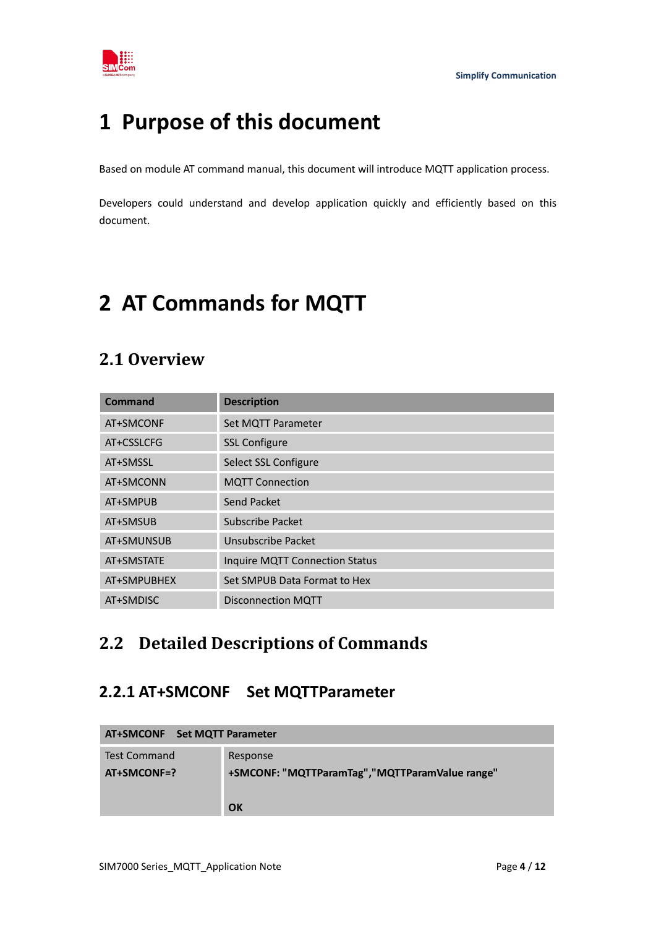

## <span id="page-3-0"></span>**1 Purpose of this document**

Based on module AT command manual, this document will introduce MQTT application process.

Developers could understand and develop application quickly and efficiently based on this document.

## <span id="page-3-1"></span>**2 AT Commands for MQTT**

### <span id="page-3-2"></span>**2.1 Overview**

| Command     | <b>Description</b>                    |
|-------------|---------------------------------------|
| AT+SMCONF   | Set MQTT Parameter                    |
| AT+CSSLCFG  | <b>SSL Configure</b>                  |
| AT+SMSSL    | Select SSL Configure                  |
| AT+SMCONN   | <b>MQTT Connection</b>                |
| AT+SMPUB    | Send Packet                           |
| AT+SMSUB    | <b>Subscribe Packet</b>               |
| AT+SMUNSUB  | Unsubscribe Packet                    |
| AT+SMSTATE  | <b>Inquire MQTT Connection Status</b> |
| AT+SMPUBHEX | Set SMPUB Data Format to Hex          |
| AT+SMDISC   | <b>Disconnection MQTT</b>             |

### <span id="page-3-3"></span>**2.2 Detailed Descriptions of Commands**

#### <span id="page-3-4"></span>**2.2.1 AT+SMCONF Set MQTTParameter**

| AT+SMCONF Set MQTT Parameter |                                                 |  |
|------------------------------|-------------------------------------------------|--|
| Test Command                 | Response                                        |  |
| AT+SMCONF=?                  | +SMCONF: "MQTTParamTag", "MQTTParamValue range" |  |
|                              |                                                 |  |
|                              | OK                                              |  |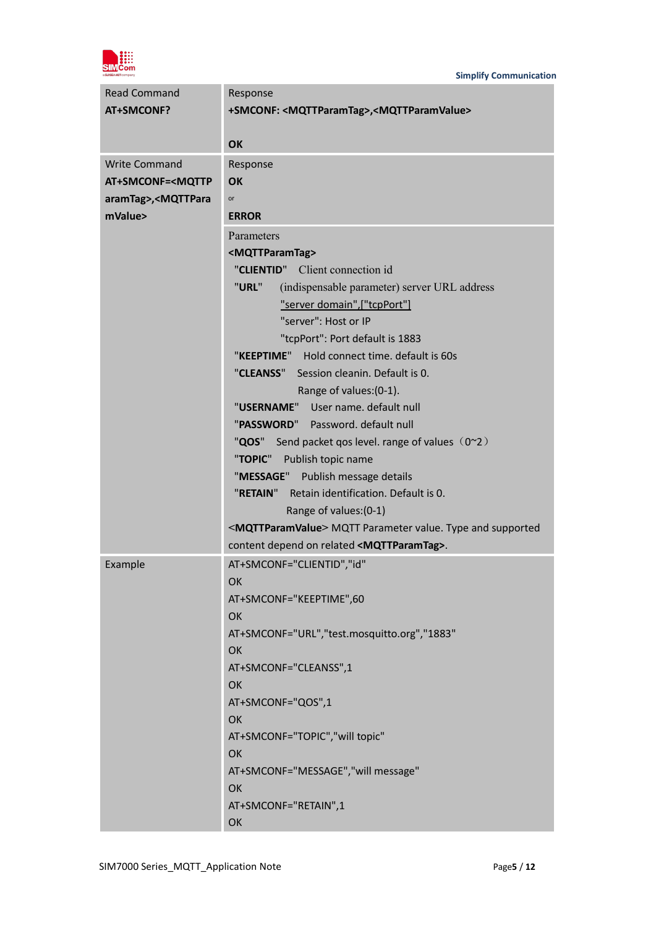

| <b>Read Command</b>                                  | Response                                                                   |  |  |
|------------------------------------------------------|----------------------------------------------------------------------------|--|--|
| AT+SMCONF?                                           | +SMCONF: <mqttparamtag>,<mqttparamvalue></mqttparamvalue></mqttparamtag>   |  |  |
|                                                      |                                                                            |  |  |
|                                                      | OK                                                                         |  |  |
| <b>Write Command</b>                                 | Response                                                                   |  |  |
| AT+SMCONF= <mqttp< th=""><th><b>OK</b></th></mqttp<> | <b>OK</b>                                                                  |  |  |
| aramTag>, <mqttpara< th=""><th>or</th></mqttpara<>   | or                                                                         |  |  |
| mValue>                                              | <b>ERROR</b>                                                               |  |  |
|                                                      | Parameters                                                                 |  |  |
|                                                      | <mqttparamtag></mqttparamtag>                                              |  |  |
|                                                      | Client connection id<br>"CLIENTID"                                         |  |  |
|                                                      | "URL"<br>(indispensable parameter) server URL address                      |  |  |
|                                                      | "server domain",["tcpPort"]                                                |  |  |
|                                                      | "server": Host or IP                                                       |  |  |
|                                                      | "tcpPort": Port default is 1883                                            |  |  |
|                                                      | "KEEPTIME" Hold connect time. default is 60s                               |  |  |
|                                                      | "CLEANSS" Session cleanin. Default is 0.                                   |  |  |
|                                                      | Range of values: (0-1).                                                    |  |  |
|                                                      | "USERNAME" User name. default null                                         |  |  |
|                                                      | "PASSWORD" Password. default null                                          |  |  |
|                                                      | "QOS" Send packet qos level. range of values (0~2)                         |  |  |
|                                                      | "TOPIC"<br>Publish topic name                                              |  |  |
|                                                      | "MESSAGE" Publish message details                                          |  |  |
|                                                      | "RETAIN" Retain identification. Default is 0.                              |  |  |
|                                                      | Range of values: (0-1)                                                     |  |  |
|                                                      | <mqttparamvalue> MQTT Parameter value. Type and supported</mqttparamvalue> |  |  |
|                                                      | content depend on related <mqttparamtag>.</mqttparamtag>                   |  |  |
| Example                                              | AT+SMCONF="CLIENTID","id"                                                  |  |  |
|                                                      | OK                                                                         |  |  |
|                                                      | AT+SMCONF="KEEPTIME",60                                                    |  |  |
|                                                      | <b>OK</b>                                                                  |  |  |
|                                                      | AT+SMCONF="URL","test.mosquitto.org","1883"                                |  |  |
|                                                      | OK                                                                         |  |  |
|                                                      | AT+SMCONF="CLEANSS",1                                                      |  |  |
|                                                      | OK                                                                         |  |  |
|                                                      | AT+SMCONF="QOS",1                                                          |  |  |
|                                                      | OK                                                                         |  |  |
|                                                      | AT+SMCONF="TOPIC","will topic"                                             |  |  |
|                                                      | OK                                                                         |  |  |
|                                                      | AT+SMCONF="MESSAGE","will message"                                         |  |  |
|                                                      | OK                                                                         |  |  |
|                                                      | AT+SMCONF="RETAIN",1                                                       |  |  |
|                                                      | OK                                                                         |  |  |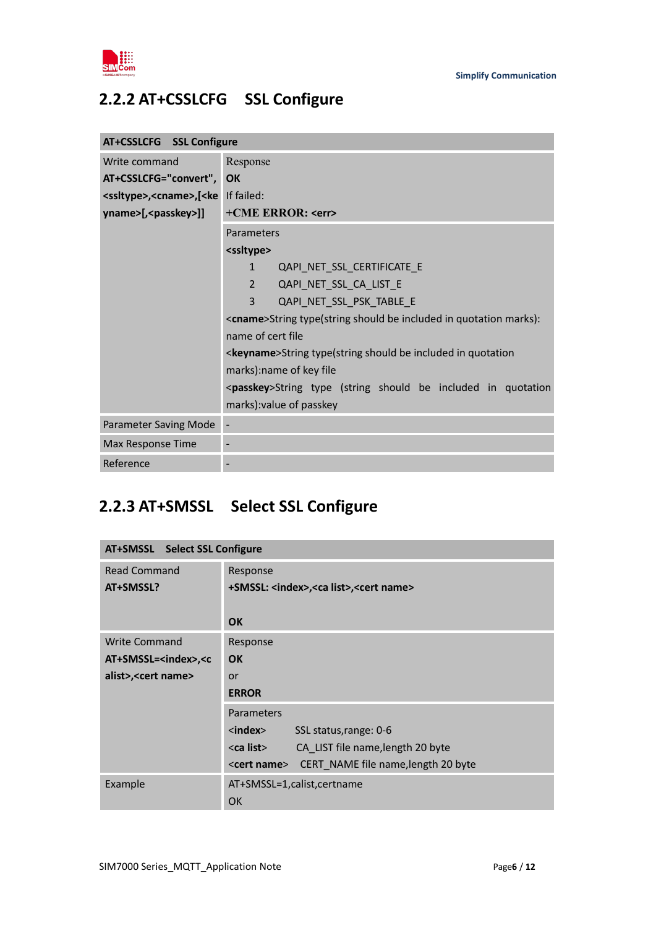

### <span id="page-5-0"></span>**2.2.2 AT+CSSLCFG SSL Configure**

| AT+CSSLCFG SSL Configure                                                  |                                                                           |  |
|---------------------------------------------------------------------------|---------------------------------------------------------------------------|--|
| Write command                                                             | Response                                                                  |  |
| AT+CSSLCFG="convert",                                                     | OK                                                                        |  |
| <ssltype>,<cname>,[<ke< th=""><th>If failed:</th></ke<></cname></ssltype> | If failed:                                                                |  |
| yname>[, <passkey>]]</passkey>                                            | +CME ERROR: <err></err>                                                   |  |
|                                                                           | Parameters                                                                |  |
|                                                                           | <ssltype></ssltype>                                                       |  |
|                                                                           | QAPI_NET_SSL_CERTIFICATE_E<br>$\mathbf{1}$                                |  |
|                                                                           | QAPI_NET_SSL_CA_LIST_E<br>$\overline{2}$                                  |  |
|                                                                           | 3<br>QAPI_NET_SSL_PSK_TABLE_E                                             |  |
|                                                                           | <cname>String type(string should be included in quotation marks):</cname> |  |
|                                                                           | name of cert file                                                         |  |
|                                                                           | <keyname>String type(string should be included in quotation</keyname>     |  |
|                                                                           | marks): name of key file                                                  |  |
|                                                                           | <passkey>String type (string should be included in quotation</passkey>    |  |
|                                                                           | marks): value of passkey                                                  |  |
| Parameter Saving Mode                                                     |                                                                           |  |
| Max Response Time                                                         |                                                                           |  |
| Reference                                                                 |                                                                           |  |

### <span id="page-5-1"></span>**2.2.3 AT+SMSSL Select SSL Configure**

| AT+SMSSL Select SSL Configure                               |                                                                 |
|-------------------------------------------------------------|-----------------------------------------------------------------|
| <b>Read Command</b>                                         | Response                                                        |
| AT+SMSSL?                                                   | +SMSSL: <index>,<ca list="">,<cert name=""></cert></ca></index> |
|                                                             |                                                                 |
|                                                             | <b>OK</b>                                                       |
| <b>Write Command</b>                                        | Response                                                        |
| AT+SMSSL= <index>,<c< th=""><th><b>OK</b></th></c<></index> | <b>OK</b>                                                       |
| alist>, < cert name>                                        | or                                                              |
|                                                             | <b>ERROR</b>                                                    |
|                                                             | Parameters                                                      |
|                                                             | $\langle$ index $\rangle$<br>SSL status, range: 0-6             |
|                                                             | <ca list=""><br/>CA LIST file name, length 20 byte</ca>         |
|                                                             | CERT NAME file name, length 20 byte<br><cert name=""></cert>    |
| Example                                                     | AT+SMSSL=1,calist,certname                                      |
|                                                             | OK                                                              |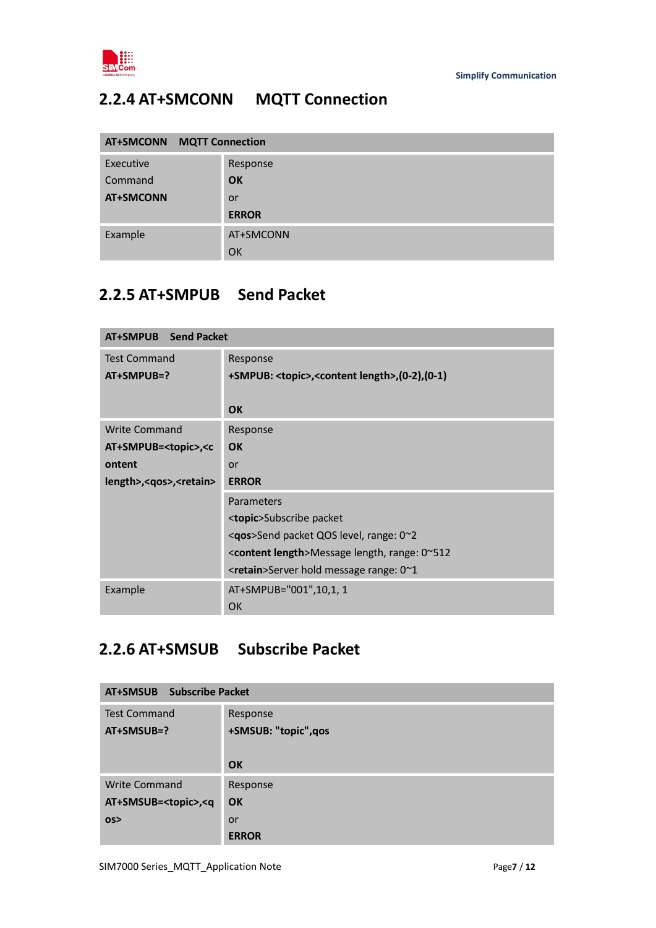

### <span id="page-6-0"></span>**2.2.4 AT+SMCONN MQTT Connection**

| <b>AT+SMCONN MQTT Connection</b> |              |  |
|----------------------------------|--------------|--|
| Executive                        | Response     |  |
| Command                          | <b>OK</b>    |  |
| <b>AT+SMCONN</b>                 | <b>or</b>    |  |
|                                  | <b>ERROR</b> |  |
| Example                          | AT+SMCONN    |  |
|                                  | OK           |  |

### <span id="page-6-1"></span>**2.2.5 AT+SMPUB Send Packet**

| AT+SMPUB Send Packet                                        |                                                                               |  |
|-------------------------------------------------------------|-------------------------------------------------------------------------------|--|
| <b>Test Command</b><br>AT+SMPUB=?                           | Response<br>+SMPUB: <topic>,<content length="">,(0-2),(0-1)</content></topic> |  |
|                                                             | <b>OK</b>                                                                     |  |
| <b>Write Command</b>                                        | Response                                                                      |  |
| AT+SMPUB= <topic>,<c< th=""><td><b>OK</b></td></c<></topic> | <b>OK</b>                                                                     |  |
| ontent                                                      | or                                                                            |  |
| length>, <qos>,<retain></retain></qos>                      | <b>ERROR</b>                                                                  |  |
|                                                             | Parameters                                                                    |  |
|                                                             | <b><topic>Subscribe packet</topic></b>                                        |  |
|                                                             | $\leq$ <b>qos</b> >Send packet QOS level, range: 0 $\approx$ 2                |  |
|                                                             | <content length="">Message length, range: 0~512</content>                     |  |
|                                                             | $\epsilon$ -retain > Server hold message range: 0 $\gamma$ 1                  |  |
| Example                                                     | AT+SMPUB="001",10,1, 1                                                        |  |
|                                                             | <b>OK</b>                                                                     |  |

### <span id="page-6-2"></span>**2.2.6 AT+SMSUB Subscribe Packet**

| <b>Subscribe Packet</b><br>AT+SMSUB                  |                      |  |
|------------------------------------------------------|----------------------|--|
| <b>Test Command</b>                                  | Response             |  |
| $AT+SMSUB=?$                                         | +SMSUB: "topic", qos |  |
|                                                      |                      |  |
|                                                      | OK                   |  |
| <b>Write Command</b>                                 | Response             |  |
| AT+SMSUB= <topic>,<q< th=""><th>OK</th></q<></topic> | OK                   |  |
| OS <sub>2</sub>                                      | or                   |  |
|                                                      | <b>ERROR</b>         |  |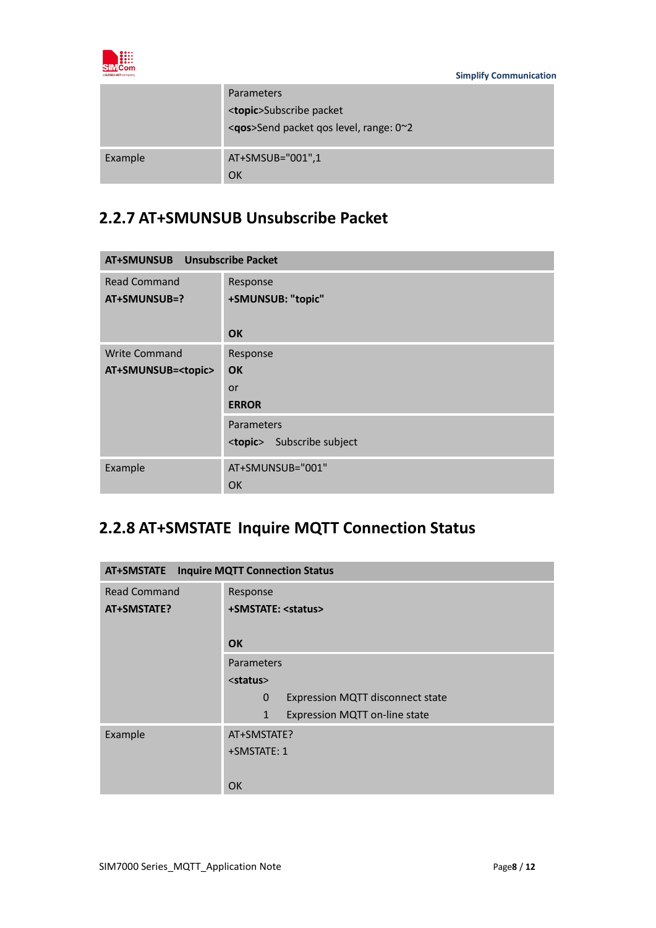

|         | Parameters<br><topic>Subscribe packet<br/><gos>Send packet gos level, range: 0~2</gos></topic> |
|---------|------------------------------------------------------------------------------------------------|
| Example | AT+SMSUB="001",1<br>OK                                                                         |

### <span id="page-7-0"></span>**2.2.7 AT+SMUNSUB Unsubscribe Packet**

| AT+SMUNSUB Unsubscribe Packet |                                      |  |
|-------------------------------|--------------------------------------|--|
| <b>Read Command</b>           | Response                             |  |
| AT+SMUNSUB=?                  | +SMUNSUB: "topic"                    |  |
|                               | <b>OK</b>                            |  |
| <b>Write Command</b>          | Response                             |  |
| AT+SMUNSUB= <topic></topic>   | <b>OK</b>                            |  |
|                               | or                                   |  |
|                               | <b>ERROR</b>                         |  |
|                               | Parameters                           |  |
|                               | Subscribe subject<br><topic></topic> |  |
| Example                       | AT+SMUNSUB="001"                     |  |
|                               | <b>OK</b>                            |  |

### <span id="page-7-1"></span>**2.2.8 AT+SMSTATE Inquire MQTT Connection Status**

| <b>Inquire MQTT Connection Status</b><br>AT+SMSTATE |                                                  |  |
|-----------------------------------------------------|--------------------------------------------------|--|
| Read Command                                        | Response                                         |  |
| AT+SMSTATE?                                         | +SMSTATE: <status></status>                      |  |
|                                                     | <b>OK</b>                                        |  |
|                                                     |                                                  |  |
|                                                     | Parameters                                       |  |
|                                                     | <status></status>                                |  |
|                                                     | Expression MQTT disconnect state<br>$\mathbf{0}$ |  |
|                                                     | Expression MQTT on-line state<br>$\mathbf{1}$    |  |
| Example                                             | AT+SMSTATE?                                      |  |
|                                                     | +SMSTATE: 1                                      |  |
|                                                     |                                                  |  |
|                                                     | <b>OK</b>                                        |  |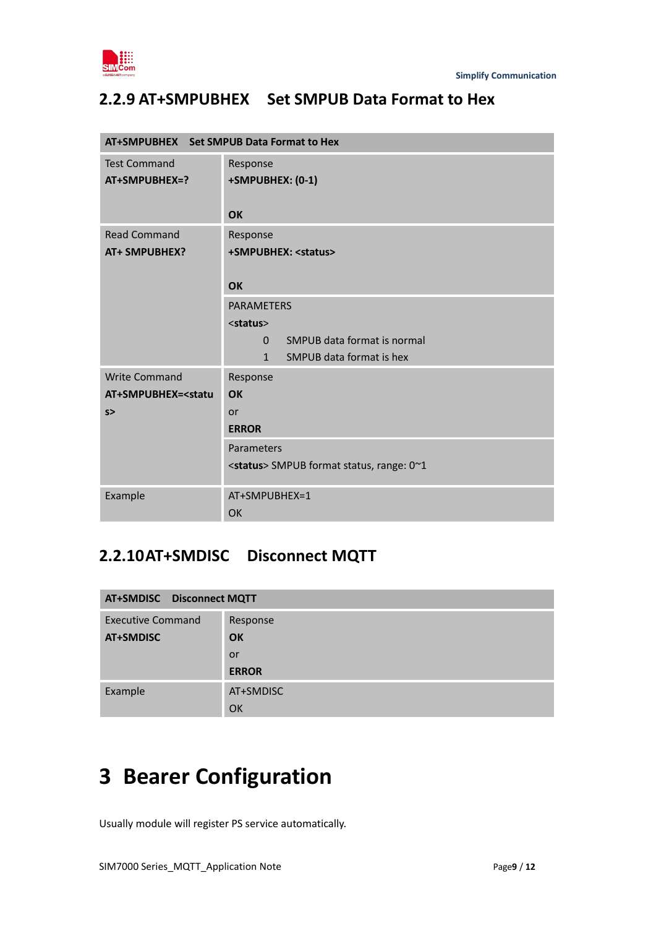

### <span id="page-8-0"></span>**2.2.9 AT+SMPUBHEX Set SMPUB Data Format to Hex**

| AT+SMPUBHEX Set SMPUB Data Format to Hex        |                                                   |  |
|-------------------------------------------------|---------------------------------------------------|--|
| <b>Test Command</b>                             | Response                                          |  |
| AT+SMPUBHEX=?                                   | +SMPUBHEX: (0-1)                                  |  |
|                                                 |                                                   |  |
|                                                 | <b>OK</b>                                         |  |
| <b>Read Command</b>                             | Response                                          |  |
| <b>AT+ SMPUBHEX?</b>                            | +SMPUBHEX: <status></status>                      |  |
|                                                 |                                                   |  |
|                                                 | <b>OK</b>                                         |  |
|                                                 | <b>PARAMETERS</b>                                 |  |
|                                                 | <status></status>                                 |  |
|                                                 | SMPUB data format is normal<br>$\Omega$           |  |
|                                                 | 1<br>SMPUB data format is hex                     |  |
| <b>Write Command</b>                            | Response                                          |  |
| AT+SMPUBHEX= <statu< th=""><th>OK</th></statu<> | OK                                                |  |
| s                                               | <b>or</b>                                         |  |
|                                                 | <b>ERROR</b>                                      |  |
|                                                 | Parameters                                        |  |
|                                                 | <status> SMPUB format status, range: 0~1</status> |  |
| Example                                         | AT+SMPUBHEX=1                                     |  |
|                                                 | OK                                                |  |

### <span id="page-8-1"></span>**2.2.10AT+SMDISC Disconnect MQTT**

| <b>AT+SMDISC</b> Disconnect MQTT |              |
|----------------------------------|--------------|
| <b>Executive Command</b>         | Response     |
| AT+SMDISC                        | <b>OK</b>    |
|                                  | <b>or</b>    |
|                                  | <b>ERROR</b> |
| Example                          | AT+SMDISC    |
|                                  | OK           |

# <span id="page-8-2"></span>**3 Bearer Configuration**

Usually module will register PS service automatically.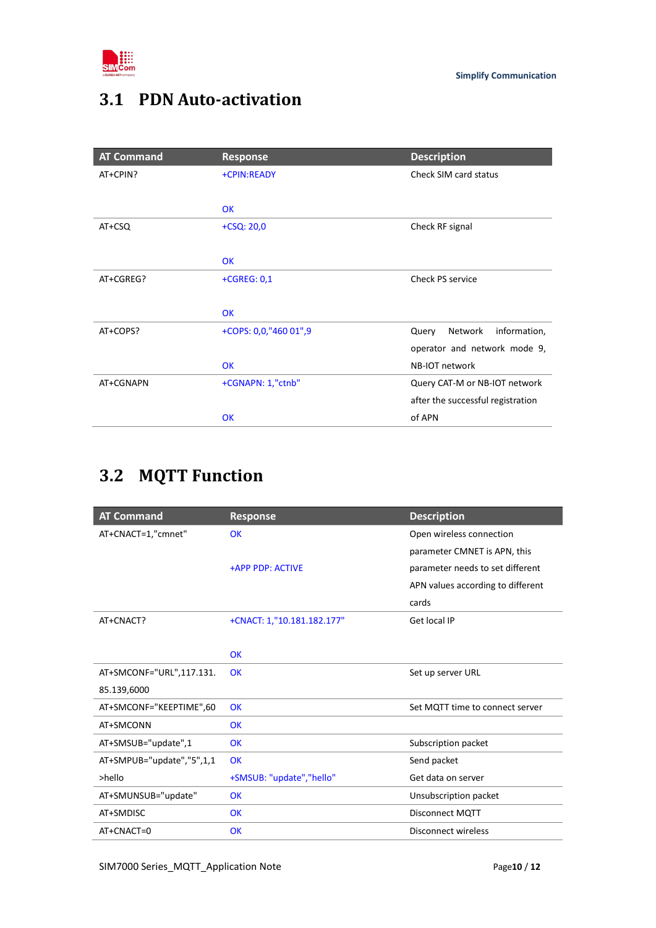

## <span id="page-9-0"></span>**3.1 PDN Auto-activation**

| <b>AT Command</b> | <b>Response</b>       | <b>Description</b>                |
|-------------------|-----------------------|-----------------------------------|
| AT+CPIN?          | +CPIN:READY           | Check SIM card status             |
|                   |                       |                                   |
|                   | <b>OK</b>             |                                   |
| AT+CSQ            | $+CSQ: 20,0$          | Check RF signal                   |
|                   |                       |                                   |
|                   | <b>OK</b>             |                                   |
| AT+CGREG?         | +CGREG: 0,1           | <b>Check PS service</b>           |
|                   |                       |                                   |
|                   | <b>OK</b>             |                                   |
| AT+COPS?          | +COPS: 0,0,"460 01",9 | information,<br>Network<br>Query  |
|                   |                       | operator and network mode 9,      |
|                   | <b>OK</b>             | NB-IOT network                    |
| AT+CGNAPN         | +CGNAPN: 1,"ctnb"     | Query CAT-M or NB-IOT network     |
|                   |                       | after the successful registration |
|                   | OK                    | of APN                            |

## <span id="page-9-1"></span>**3.2 MQTT Function**

| <b>AT Command</b>         | <b>Response</b>            | <b>Description</b>                |
|---------------------------|----------------------------|-----------------------------------|
| AT+CNACT=1,"cmnet"        | <b>OK</b>                  | Open wireless connection          |
|                           |                            | parameter CMNET is APN, this      |
|                           | +APP PDP: ACTIVE           | parameter needs to set different  |
|                           |                            | APN values according to different |
|                           |                            | cards                             |
| AT+CNACT?                 | +CNACT: 1,"10.181.182.177" | Get local IP                      |
|                           |                            |                                   |
|                           | <b>OK</b>                  |                                   |
| AT+SMCONF="URL",117.131.  | OK                         | Set up server URL                 |
| 85.139,6000               |                            |                                   |
| AT+SMCONF="KEEPTIME",60   | OK                         | Set MQTT time to connect server   |
| AT+SMCONN                 | <b>OK</b>                  |                                   |
| AT+SMSUB="update",1       | <b>OK</b>                  | Subscription packet               |
| AT+SMPUB="update","5",1,1 | <b>OK</b>                  | Send packet                       |
| >hello                    | +SMSUB: "update","hello"   | Get data on server                |
| AT+SMUNSUB="update"       | <b>OK</b>                  | Unsubscription packet             |
| AT+SMDISC                 | <b>OK</b>                  | <b>Disconnect MQTT</b>            |
| AT+CNACT=0                | OK                         | Disconnect wireless               |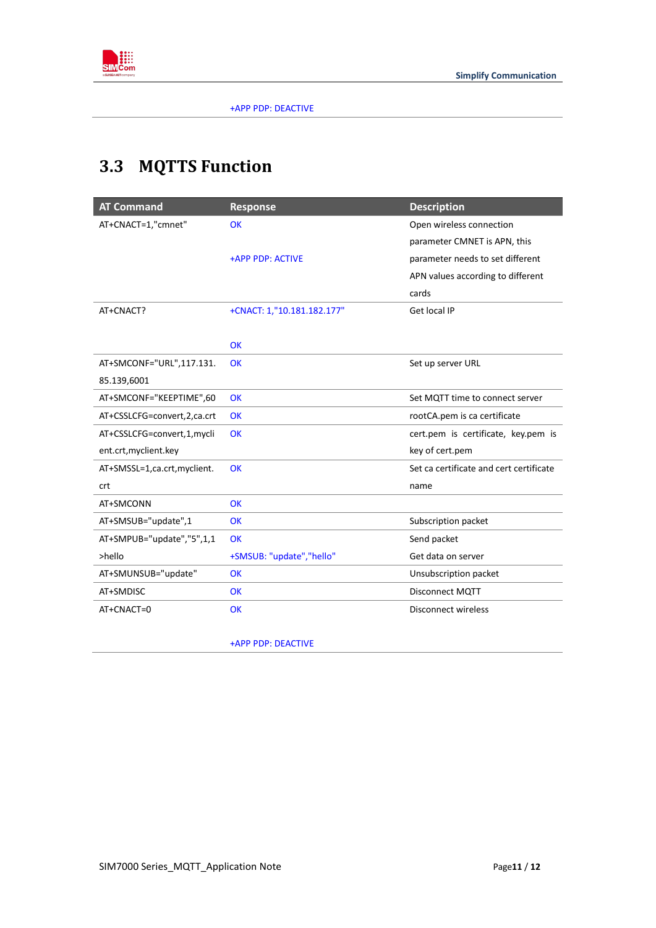

+APP PDP: DEACTIVE

## <span id="page-10-0"></span>**3.3 MQTTS Function**

| <b>Response</b>            | <b>Description</b>                      |
|----------------------------|-----------------------------------------|
| <b>OK</b>                  | Open wireless connection                |
|                            | parameter CMNET is APN, this            |
| +APP PDP: ACTIVE           | parameter needs to set different        |
|                            | APN values according to different       |
|                            | cards                                   |
| +CNACT: 1,"10.181.182.177" | Get local IP                            |
|                            |                                         |
| <b>OK</b>                  |                                         |
| <b>OK</b>                  | Set up server URL                       |
|                            |                                         |
| OK                         | Set MQTT time to connect server         |
| OK                         | rootCA.pem is ca certificate            |
| <b>OK</b>                  | cert.pem is certificate, key.pem is     |
|                            | key of cert.pem                         |
| <b>OK</b>                  | Set ca certificate and cert certificate |
|                            | name                                    |
| <b>OK</b>                  |                                         |
| <b>OK</b>                  | Subscription packet                     |
| <b>OK</b>                  | Send packet                             |
| +SMSUB: "update","hello"   | Get data on server                      |
| OK                         | Unsubscription packet                   |
| <b>OK</b>                  | <b>Disconnect MQTT</b>                  |
| <b>OK</b>                  | <b>Disconnect wireless</b>              |
|                            |                                         |

+APP PDP: DEACTIVE